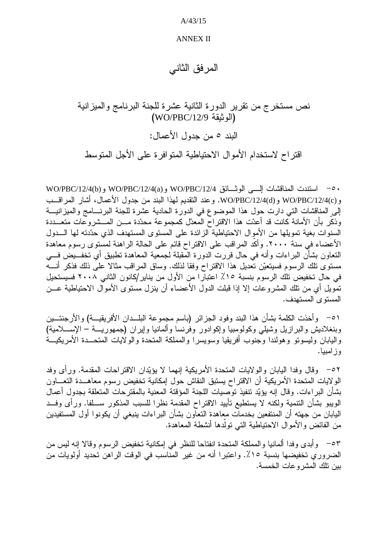$A/43/15$ 

## **ANNEX II**

المر فق الثاني

نص مستخرج من نقرير الدورة الثانية عشرة للجنة البرنامج والميزانية  $(WO/PBC/12/9)$ الو ثبقة البند ٥ من جدول الأعمال: اقتر اح لاستخدام الأموال الاحتباطية المتوافر ة على الأجل المتوسط

• 0- استندت المناقشات إلـــى الوثــائق WO/PBC/12/4(a) و WO/PBC/12/4(b) و WO/PBC/12/4(b و (WO/PBC/12/4(d و WO/PBC/12/4(d. وعند النقديم لمهذا البند من جدول الأعمال، أشار المراقــب إلى المناقشات التي دارت حول هذا الموضوع في الدورة الحادية عشرة للجنة البرنسامج والميزانيـــة وذكر بأن الأمانة كانت قد أعدّت هذا الاقتراح المعدّل كمجموعة محدّدة مـــن المـــشروعات متعـــددة السنوات بغية تمويلها من الأموال الاحتياطية الزائدة على المستوى المستهدف الذي حدّدته لها الـــدول الأعضاء في سنة ٢٠٠٠. وأكد المراقب على الاقتراح قائم على الحالة الراهنة لمستوى رسوم معاهدة النعاون بشأَن البراءات وأنه في حال قررت الدورة الْمَقبلة لـجمعية المعاهدة نطبيق أي نخفـــبض فـــي مستوى تلك الرسوم فسيتعيّن تعديل هذا الاقتراح وفقا لذلك. وساق المراقب مثالا على ذلك فذكر أنسه في حال تخفيض تلك الرسوم بنسبة ١٥٪ اعتبارا من الأول من يناير/كانون الثاني ٢٠٠٨ فسيستحيل تمويل أي من تلك المشروعات إلا إذا قبلت الدول الأعضاء أن ينزل مستوى الأموال الاحتياطية عـــن المستوى المستهدف.

٥١ - وأخذت الكلمة بشأن هذا البند وفود الجزائر (باسم مجموعة البلــدان الأفريقيـــة) والأرجنتـــين وبنغلاديش والبرازيل وشيلي وكولومبيا وإكوادور وفرنسا وألمانيا وإيران (جمهوريـــة – الإســــلامية) واليابان وليسونو وهولندا وجنوب أفريقيا وسويسرا والمملكة المتحدة والولايات المتحــدة الأمريكيـــة وز امبيا.

٥٢ - وقال وفدا البابان والولايات المتحدة الأمريكية إنهما لا يؤيّدان الاقتراحات المقدمة. ورأى وفد الولايات المتحدة الأمريكية أن الاقتراح يستبق النقاش حول إمكانية تخفيض رسوم معاهــدة التعـــاون بشأن البر اءات. وقال إنه يؤيّد تنفيذ توصيات اللجنة المؤقتة المعنية بالمقترحات المتعلقة بجدول أعمال الويبو بشأن التنمية ولكنه لا يستطيع تأييد الاقتراح المقدمة نظرا للسبب المذكور ســلفا. ورأى وفــد اليابان من جهته أن المنتفعين بخدمات معاهدة التعاون بشأن البراءات ينبغي أن يكونوا أول المستفيدين من الفائض والأموال الاحتياطية التي تولَّدها أنشطة المعاهدة.

٥٣ - وأبدى وفدا ألمانيا والمملكة المتحدة انفتاحا للنظر في إمكانية تخفيض الرسوم وقالا إنه ليس من الضروري تخفيضها بنسبة ١٥٪. واعتبرا أنه من غير المناسب في الوقت الراهن تحديد أولويات من بين نلك المشروعات الخمسة.